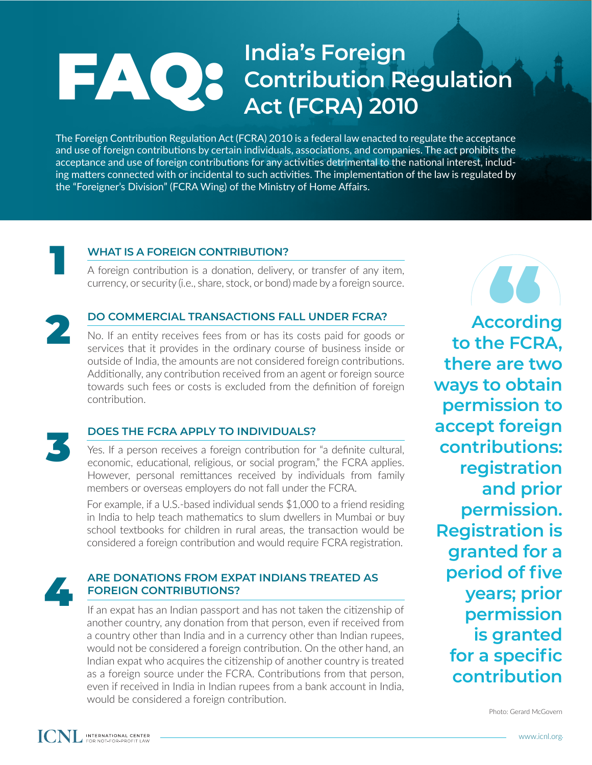## FAQ: **India's Foreign Contribution Regulation Act (FCRA) 2010**

The Foreign Contribution Regulation Act (FCRA) 2010 is a federal law enacted to regulate the acceptance and use of foreign contributions by certain individuals, associations, and companies. The act prohibits the acceptance and use of foreign contributions for any activities detrimental to the national interest, including matters connected with or incidental to such activities. The implementation of the law is regulated by the "Foreigner's Division" (FCRA Wing) of the Ministry of Home Affairs.



## **WHAT IS A FOREIGN CONTRIBUTION?**

A foreign contribution is a donation, delivery, or transfer of any item, A foreign contribution is a donation, delivery, or transfer of any item,<br>
currency, or security (i.e., share, stock, or bond) made by a foreign source.<br> **DO COMMERCIAL TRANSACTIONS FALL UNDER FCRA?**<br>
No. If an entity recei



### **DO COMMERCIAL TRANSACTIONS FALL UNDER FCRA?**

No. If an entity receives fees from or has its costs paid for goods or services that it provides in the ordinary course of business inside or outside of India, the amounts are not considered foreign contributions. Additionally, any contribution received from an agent or foreign source towards such fees or costs is excluded from the definition of foreign contribution.



## **DOES THE FCRA APPLY TO INDIVIDUALS?**

Yes. If a person receives a foreign contribution for "a definite cultural, economic, educational, religious, or social program," the FCRA applies. However, personal remittances received by individuals from family members or overseas employers do not fall under the FCRA.

For example, if a U.S.-based individual sends \$1,000 to a friend residing in India to help teach mathematics to slum dwellers in Mumbai or buy school textbooks for children in rural areas, the transaction would be considered a foreign contribution and would require FCRA registration.



#### **ARE DONATIONS FROM EXPAT INDIANS TREATED AS FOREIGN CONTRIBUTIONS?**

If an expat has an Indian passport and has not taken the citizenship of another country, any donation from that person, even if received from a country other than India and in a currency other than Indian rupees, would not be considered a foreign contribution. On the other hand, an Indian expat who acquires the citizenship of another country is treated as a foreign source under the FCRA. Contributions from that person, even if received in India in Indian rupees from a bank account in India, would be considered a foreign contribution.

**According to the FCRA, there are two ways to obtain permission to accept foreign contributions: registration and prior permission. Registration is granted for a period of five years; prior permission is granted for a specific contribution**

Photo: Gerard McGovern